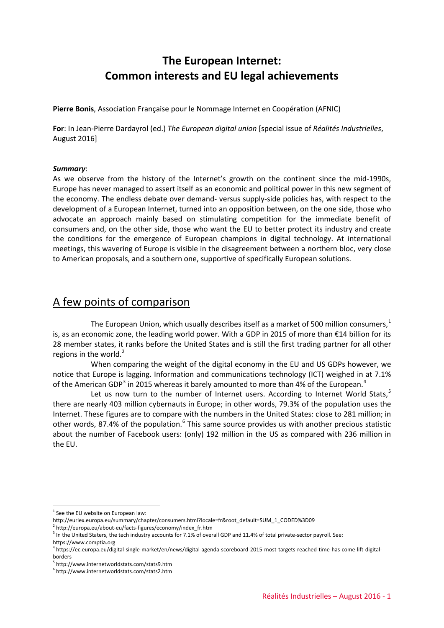# **The European Internet: Common interests and EU legal achievements**

**Pierre Bonis**, Association Française pour le Nommage Internet en Coopération (AFNIC)

**For**: In Jean-Pierre Dardayrol (ed.) *The European digital union* [special issue of *Réalités Industrielles*, August 2016]

#### *Summary*:

As we observe from the history of the Internet's growth on the continent since the mid-1990s, Europe has never managed to assert itself as an economic and political power in this new segment of the economy. The endless debate over demand- versus supply-side policies has, with respect to the development of a European Internet, turned into an opposition between, on the one side, those who advocate an approach mainly based on stimulating competition for the immediate benefit of consumers and, on the other side, those who want the EU to better protect its industry and create the conditions for the emergence of European champions in digital technology. At international meetings, this wavering of Europe is visible in the disagreement between a northern bloc, very close to American proposals, and a southern one, supportive of specifically European solutions.

#### A few points of comparison

The European Union, which usually describes itself as a market of 500 million consumers, $1$ is, as an economic zone, the leading world power. With a GDP in 2015 of more than €14 billion for its 28 member states, it ranks before the United States and is still the first trading partner for all other regions in the world. $2$ 

When comparing the weight of the digital economy in the EU and US GDPs however, we notice that Europe is lagging. Information and communications technology (ICT) weighed in at 7.1% of the American GDP<sup>[3](#page-0-2)</sup> in 2015 whereas it barely amounted to more than [4](#page-0-3)% of the European.<sup>4</sup>

Let us now turn to the number of Internet users. According to Internet World Stats, $5$ there are nearly 403 million cybernauts in Europe; in other words, 79.3% of the population uses the Internet. These figures are to compare with the numbers in the United States: close to 281 million; in other words, 87.4% of the population.<sup>[6](#page-0-5)</sup> This same source provides us with another precious statistic about the number of Facebook users: (only) 192 million in the US as compared with 236 million in the EU.

<span id="page-0-0"></span> $1$  See the EU website on European law:

http://eurlex.europa.eu/summary/chapter/consumers.html?locale=fr&root\_default=SUM\_1\_CODED%3D09<br><sup>2</sup> http://europa.eu/about-eu/facts-figures/economy/index\_fr.htm

<span id="page-0-1"></span>

<span id="page-0-2"></span><sup>&</sup>lt;sup>3</sup> In the United Staters, the tech industry accounts for 7.1% of overall GDP and 11.4% of total private-sector payroll. See: https://www.comptia.org

<span id="page-0-3"></span><sup>4</sup> https://ec.europa.eu/digital-single-market/en/news/digital-agenda-scoreboard-2015-most-targets-reached-time-has-come-lift-digitalborders

<sup>5</sup> http://www.internetworldstats.com/stats9.htm

<span id="page-0-5"></span><span id="page-0-4"></span><sup>6</sup> http://www.internetworldstats.com/stats2.htm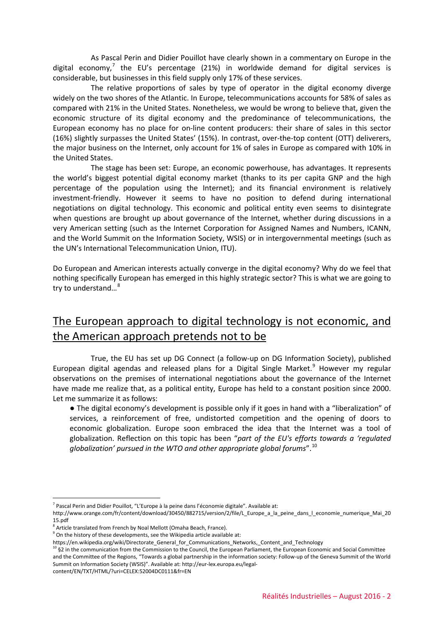As Pascal Perin and Didier Pouillot have clearly shown in a commentary on Europe in the digital economy,<sup>[7](#page-1-0)</sup> the EU's percentage (21%) in worldwide demand for digital services is considerable, but businesses in this field supply only 17% of these services.

The relative proportions of sales by type of operator in the digital economy diverge widely on the two shores of the Atlantic. In Europe, telecommunications accounts for 58% of sales as compared with 21% in the United States. Nonetheless, we would be wrong to believe that, given the economic structure of its digital economy and the predominance of telecommunications, the European economy has no place for on-line content producers: their share of sales in this sector (16%) slightly surpasses the United States' (15%). In contrast, over-the-top content (OTT) deliverers, the major business on the Internet, only account for 1% of sales in Europe as compared with 10% in the United States.

The stage has been set: Europe, an economic powerhouse, has advantages. It represents the world's biggest potential digital economy market (thanks to its per capita GNP and the high percentage of the population using the Internet); and its financial environment is relatively investment-friendly. However it seems to have no position to defend during international negotiations on digital technology. This economic and political entity even seems to disintegrate when questions are brought up about governance of the Internet, whether during discussions in a very American setting (such as the Internet Corporation for Assigned Names and Numbers, ICANN, and the World Summit on the Information Society, WSIS) or in intergovernmental meetings (such as the UN's International Telecommunication Union, ITU).

Do European and American interests actually converge in the digital economy? Why do we feel that nothing specifically European has emerged in this highly strategic sector? This is what we are going to try to understand…[8](#page-1-1)

## The European approach to digital technology is not economic, and the American approach pretends not to be

True, the EU has set up DG Connect (a follow-up on DG Information Society), published European digital agendas and released plans for a Digital Single Market. $9$  However my regular observations on the premises of international negotiations about the governance of the Internet have made me realize that, as a political entity, Europe has held to a constant position since 2000. Let me summarize it as follows:

● The digital economy's development is possible only if it goes in hand with a "liberalization" of services, a reinforcement of free, undistorted competition and the opening of doors to economic globalization. Europe soon embraced the idea that the Internet was a tool of globalization. Reflection on this topic has been "*part of the EU's efforts towards a 'regulated globalization' pursued in the WTO and other appropriate global forums*".[10](#page-1-3)

<span id="page-1-0"></span> $<sup>7</sup>$  Pascal Perin and Didier Pouillot, "L'Europe à la peine dans l'économie digitale". Available at:</sup>

http://www.orange.com/fr/content/download/30450/882715/version/2/file/L\_Europe\_a\_la\_peine\_dans\_l\_economie\_numerique\_Mai\_20 15.pdf

<span id="page-1-1"></span> $8$  Article translated from French by Noal Mellott (Omaha Beach, France).

<span id="page-1-2"></span><sup>&</sup>lt;sup>9</sup> On the history of these developments, see the Wikipedia article available at:<br>https://en.wikipedia.org/wiki/Directorate General for Communications Networks, Content and Technology

<span id="page-1-3"></span> $10\,$  §2 in the communication from the Commission to the Council, the European Parliament, the European Economic and Social Committee and the Committee of the Regions, "Towards a global partnership in the information society: Follow-up of the Geneva Summit of the World Summit on Information Society (WSIS)". Available at: http://eur-lex.europa.eu/legalcontent/EN/TXT/HTML/?uri=CELEX:52004DC0111&fr=EN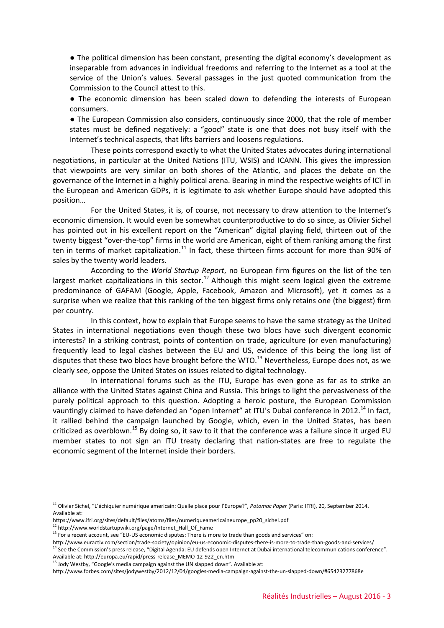● The political dimension has been constant, presenting the digital economy's development as inseparable from advances in individual freedoms and referring to the Internet as a tool at the service of the Union's values. Several passages in the just quoted communication from the Commission to the Council attest to this.

● The economic dimension has been scaled down to defending the interests of European consumers.

● The European Commission also considers, continuously since 2000, that the role of member states must be defined negatively: a "good" state is one that does not busy itself with the Internet's technical aspects, that lifts barriers and loosens regulations.

These points correspond exactly to what the United States advocates during international negotiations, in particular at the United Nations (ITU, WSIS) and ICANN. This gives the impression that viewpoints are very similar on both shores of the Atlantic, and places the debate on the governance of the Internet in a highly political arena. Bearing in mind the respective weights of ICT in the European and American GDPs, it is legitimate to ask whether Europe should have adopted this position…

For the United States, it is, of course, not necessary to draw attention to the Internet's economic dimension. It would even be somewhat counterproductive to do so since, as Olivier Sichel has pointed out in his excellent report on the "American" digital playing field, thirteen out of the twenty biggest "over-the-top" firms in the world are American, eight of them ranking among the first ten in terms of market capitalization.<sup>[11](#page-2-0)</sup> In fact, these thirteen firms account for more than 90% of sales by the twenty world leaders.

According to the *World Startup Report*, no European firm figures on the list of the ten largest market capitalizations in this sector.<sup>[12](#page-2-1)</sup> Although this might seem logical given the extreme predominance of GAFAM (Google, Apple, Facebook, Amazon and Microsoft), yet it comes as a surprise when we realize that this ranking of the ten biggest firms only retains one (the biggest) firm per country.

In this context, how to explain that Europe seems to have the same strategy as the United States in international negotiations even though these two blocs have such divergent economic interests? In a striking contrast, points of contention on trade, agriculture (or even manufacturing) frequently lead to legal clashes between the EU and US, evidence of this being the long list of disputes that these two blocs have brought before the WTO. $^{13}$  $^{13}$  $^{13}$  Nevertheless, Europe does not, as we clearly see, oppose the United States on issues related to digital technology.

In international forums such as the ITU, Europe has even gone as far as to strike an alliance with the United States against China and Russia. This brings to light the pervasiveness of the purely political approach to this question. Adopting a heroic posture, the European Commission vauntingly claimed to have defended an "open Internet" at ITU's Dubai conference in 2012.<sup>[14](#page-2-3)</sup> In fact, it rallied behind the campaign launched by Google, which, even in the United States, has been criticized as overblown.<sup>[15](#page-2-4)</sup> By doing so, it saw to it that the conference was a failure since it urged EU member states to not sign an ITU treaty declaring that nation-states are free to regulate the economic segment of the Internet inside their borders.

<span id="page-2-0"></span><sup>11</sup> Olivier Sichel, "L'échiquier numérique americain: Quelle place pour l'Europe?", *Potomac Paper* (Paris: IFRI), 20, September 2014. Available at:

<span id="page-2-1"></span>https://www.ifri.org/sites/default/files/atoms/files/numeriqueamericaineurope\_pp20\_sichel.pdf

<sup>&</sup>lt;sup>12</sup> http://www.worldstartupwiki.org/page/Internet\_Hall\_Of\_Fame

<span id="page-2-2"></span><sup>&</sup>lt;sup>13</sup> For a recent account, see "EU-US economic disputes: There is more to trade than goods and services" on:

http://www.euractiv.com/section/trade-society/opinion/eu-us-economic-disputes-there-is-more-to-trade-than-goods-and-services/

<span id="page-2-3"></span><sup>&</sup>lt;sup>14</sup> See the Commission's press release, "Digital Agenda: EU defends open Internet at Dubai international telecommunications conference". Available at: http://europa.eu/rapid/press-release\_MEMO-12-922\_en.htm

 $^{15}$  Jody Westby, "Google's media campaign against the UN slapped down". Available at:

<span id="page-2-4"></span>http://www.forbes.com/sites/jodywestby/2012/12/04/googles-media-campaign-against-the-un-slapped-down/#65423277868e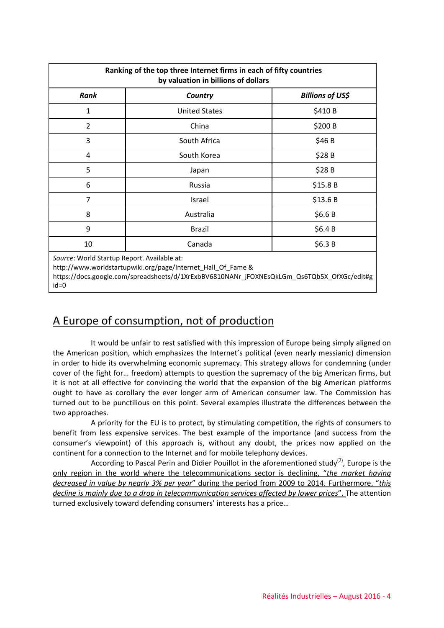| Ranking of the top three Internet firms in each of fifty countries<br>by valuation in billions of dollars |                      |                         |
|-----------------------------------------------------------------------------------------------------------|----------------------|-------------------------|
| Rank                                                                                                      | Country              | <b>Billions of US\$</b> |
| $\mathbf{1}$                                                                                              | <b>United States</b> | \$410B                  |
| 2                                                                                                         | China                | \$200 B                 |
| 3                                                                                                         | South Africa         | \$46 B                  |
| 4                                                                                                         | South Korea          | \$28 B                  |
| 5                                                                                                         | Japan                | \$28B                   |
| 6                                                                                                         | Russia               | \$15.8 B                |
| 7                                                                                                         | Israel               | \$13.6 B                |
| 8                                                                                                         | Australia            | \$6.6B                  |
| 9                                                                                                         | <b>Brazil</b>        | \$6.4B                  |
| 10                                                                                                        | Canada               | \$6.3 B                 |
| Source: World Startup Report. Available at:                                                               |                      |                         |

http://www.worldstartupwiki.org/page/Internet\_Hall\_Of\_Fame &

https://docs.google.com/spreadsheets/d/1XrExbBV6810NANr\_jFOXNEsQkLGm\_Qs6TQb5X\_OfXGc/edit#g id=0

# A Europe of consumption, not of production

It would be unfair to rest satisfied with this impression of Europe being simply aligned on the American position, which emphasizes the Internet's political (even nearly messianic) dimension in order to hide its overwhelming economic supremacy. This strategy allows for condemning (under cover of the fight for… freedom) attempts to question the supremacy of the big American firms, but it is not at all effective for convincing the world that the expansion of the big American platforms ought to have as corollary the ever longer arm of American consumer law. The Commission has turned out to be punctilious on this point. Several examples illustrate the differences between the two approaches.

A priority for the EU is to protect, by stimulating competition, the rights of consumers to benefit from less expensive services. The best example of the importance (and success from the consumer's viewpoint) of this approach is, without any doubt, the prices now applied on the continent for a connection to the Internet and for mobile telephony devices.

According to Pascal Perin and Didier Pouillot in the aforementioned study<sup>(7)</sup>, Europe is the only region in the world where the telecommunications sector is declining, "*the market having decreased in value by nearly 3% per year*" during the period from 2009 to 2014. Furthermore, "*this decline is mainly due to a drop in telecommunication services affected by lower prices*". The attention turned exclusively toward defending consumers' interests has a price…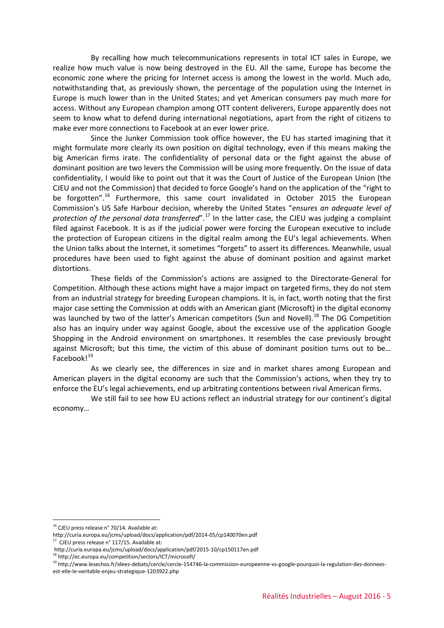By recalling how much telecommunications represents in total ICT sales in Europe, we realize how much value is now being destroyed in the EU. All the same, Europe has become the economic zone where the pricing for Internet access is among the lowest in the world. Much ado, notwithstanding that, as previously shown, the percentage of the population using the Internet in Europe is much lower than in the United States; and yet American consumers pay much more for access. Without any European champion among OTT content deliverers, Europe apparently does not seem to know what to defend during international negotiations, apart from the right of citizens to make ever more connections to Facebook at an ever lower price.

Since the Junker Commission took office however, the EU has started imagining that it might formulate more clearly its own position on digital technology, even if this means making the big American firms irate. The confidentiality of personal data or the fight against the abuse of dominant position are two levers the Commission will be using more frequently. On the issue of data confidentiality, I would like to point out that it was the Court of Justice of the European Union (the CJEU and not the Commission) that decided to force Google's hand on the application of the "right to be forgotten".<sup>[16](#page-4-0)</sup> Furthermore, this same court invalidated in October 2015 the European Commission's US Safe Harbour decision, whereby the United States "*ensures an adequate level of protection of the personal data transferred"*.<sup>[17](#page-4-1)</sup> In the latter case, the CJEU was judging a complaint filed against Facebook. It is as if the judicial power were forcing the European executive to include the protection of European citizens in the digital realm among the EU's legal achievements. When the Union talks about the Internet, it sometimes "forgets" to assert its differences. Meanwhile, usual procedures have been used to fight against the abuse of dominant position and against market distortions.

These fields of the Commission's actions are assigned to the Directorate-General for Competition. Although these actions might have a major impact on targeted firms, they do not stem from an industrial strategy for breeding European champions. It is, in fact, worth noting that the first major case setting the Commission at odds with an American giant (Microsoft) in the digital economy was launched by two of the latter's American competitors (Sun and Novell).<sup>[18](#page-4-2)</sup> The DG Competition also has an inquiry under way against Google, about the excessive use of the application Google Shopping in the Android environment on smartphones. It resembles the case previously brought against Microsoft; but this time, the victim of this abuse of dominant position turns out to be… Facebook!<sup>[19](#page-4-3)</sup>

As we clearly see, the differences in size and in market shares among European and American players in the digital economy are such that the Commission's actions, when they try to enforce the EU's legal achievements, end up arbitrating contentions between rival American firms.

We still fail to see how EU actions reflect an industrial strategy for our continent's digital economy…

 $16$  CJEU press release n° 70/14. Available at:

<span id="page-4-0"></span>http://curia.europa.eu/jcms/upload/docs/application/pdf/2014-05/cp140070en.pdf

<span id="page-4-1"></span><sup>17</sup> CJEU press release n° 117/15. Available at:

http://curia.europa.eu/jcms/upload/docs/application/pdf/2015-10/cp150117en.pdf

<sup>18</sup> http://ec.europa.eu/competition/sectors/ICT/microsoft/

<span id="page-4-3"></span><span id="page-4-2"></span><sup>&</sup>lt;sup>19</sup> http://www.lesechos.fr/idees-debats/cercle/cercle-154746-la-commission-europeenne-vs-google-pourquoi-la-regulation-des-donnees-

est-elle-le-veritable-enjeu-strategique-1203922.php